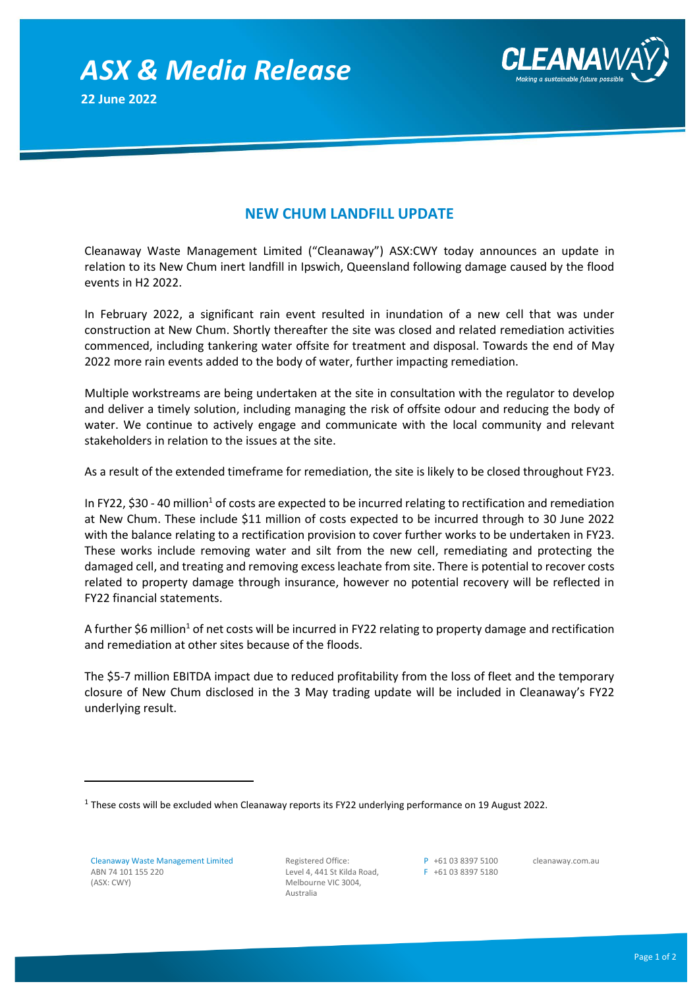*ASX & Media Release* **22 June 2022**



## **NEW CHUM LANDFILL UPDATE**

Cleanaway Waste Management Limited ("Cleanaway") ASX:CWY today announces an update in relation to its New Chum inert landfill in Ipswich, Queensland following damage caused by the flood events in H2 2022.

In February 2022, a significant rain event resulted in inundation of a new cell that was under construction at New Chum. Shortly thereafter the site was closed and related remediation activities commenced, including tankering water offsite for treatment and disposal. Towards the end of May 2022 more rain events added to the body of water, further impacting remediation.

Multiple workstreams are being undertaken at the site in consultation with the regulator to develop and deliver a timely solution, including managing the risk of offsite odour and reducing the body of water. We continue to actively engage and communicate with the local community and relevant stakeholders in relation to the issues at the site.

As a result of the extended timeframe for remediation, the site is likely to be closed throughout FY23.

In FY22, \$30 - 40 million<sup>1</sup> of costs are expected to be incurred relating to rectification and remediation at New Chum. These include \$11 million of costs expected to be incurred through to 30 June 2022 with the balance relating to a rectification provision to cover further works to be undertaken in FY23. These works include removing water and silt from the new cell, remediating and protecting the damaged cell, and treating and removing excess leachate from site. There is potential to recover costs related to property damage through insurance, however no potential recovery will be reflected in FY22 financial statements.

A further \$6 million<sup>1</sup> of net costs will be incurred in FY22 relating to property damage and rectification and remediation at other sites because of the floods.

The \$5-7 million EBITDA impact due to reduced profitability from the loss of fleet and the temporary closure of New Chum disclosed in the 3 May trading update will be included in Cleanaway's FY22 underlying result.

Registered Office: Level 4, 441 St Kilda Road, Melbourne VIC 3004, Australia

P +61 03 8397 5100 F +61 03 8397 5180 cleanaway.com.au

 $^1$  These costs will be excluded when Cleanaway reports its FY22 underlying performance on 19 August 2022.